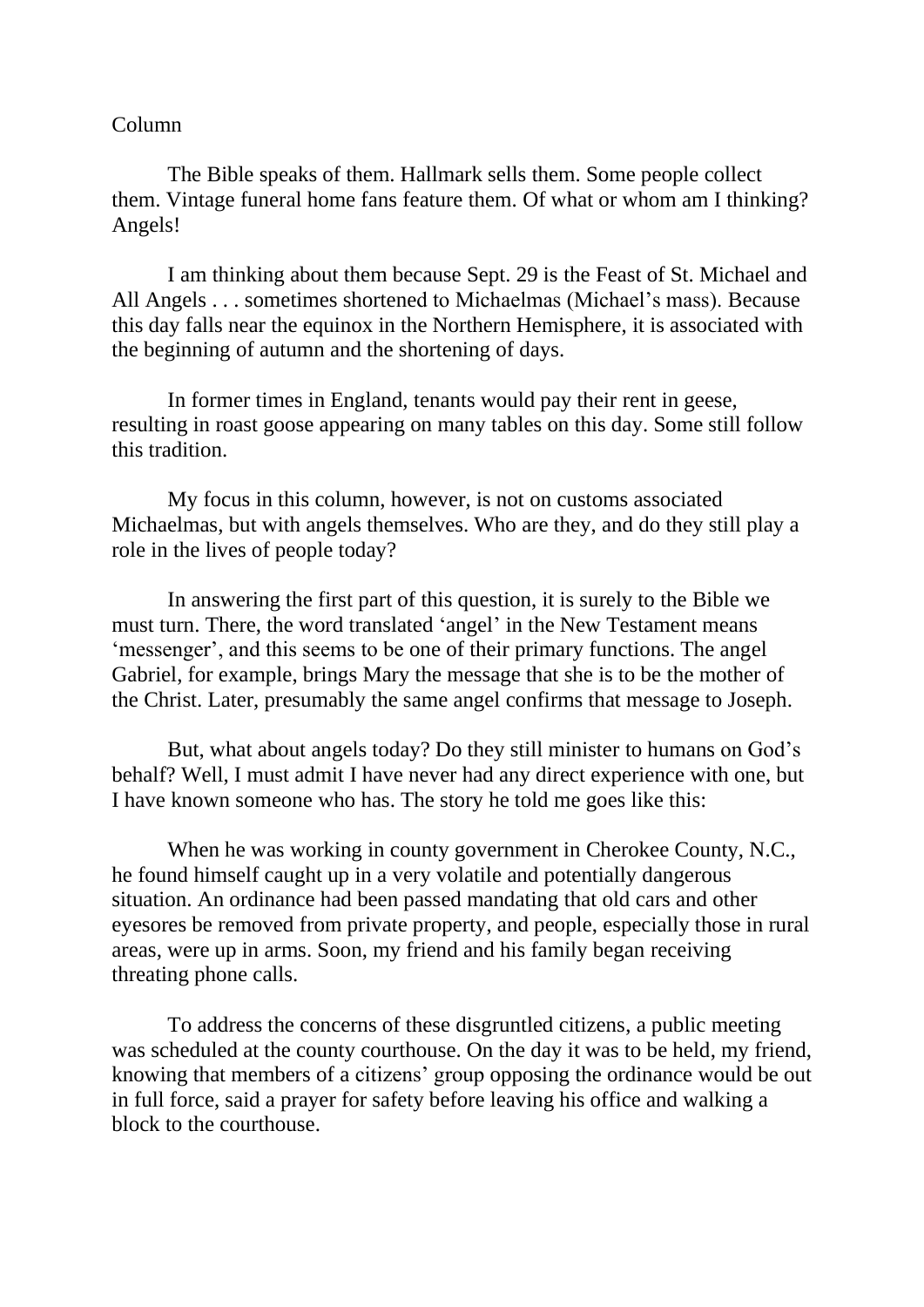## Column

The Bible speaks of them. Hallmark sells them. Some people collect them. Vintage funeral home fans feature them. Of what or whom am I thinking? Angels!

I am thinking about them because Sept. 29 is the Feast of St. Michael and All Angels . . . sometimes shortened to Michaelmas (Michael's mass). Because this day falls near the equinox in the Northern Hemisphere, it is associated with the beginning of autumn and the shortening of days.

In former times in England, tenants would pay their rent in geese, resulting in roast goose appearing on many tables on this day. Some still follow this tradition.

My focus in this column, however, is not on customs associated Michaelmas, but with angels themselves. Who are they, and do they still play a role in the lives of people today?

In answering the first part of this question, it is surely to the Bible we must turn. There, the word translated 'angel' in the New Testament means 'messenger', and this seems to be one of their primary functions. The angel Gabriel, for example, brings Mary the message that she is to be the mother of the Christ. Later, presumably the same angel confirms that message to Joseph.

But, what about angels today? Do they still minister to humans on God's behalf? Well, I must admit I have never had any direct experience with one, but I have known someone who has. The story he told me goes like this:

When he was working in county government in Cherokee County, N.C., he found himself caught up in a very volatile and potentially dangerous situation. An ordinance had been passed mandating that old cars and other eyesores be removed from private property, and people, especially those in rural areas, were up in arms. Soon, my friend and his family began receiving threating phone calls.

To address the concerns of these disgruntled citizens, a public meeting was scheduled at the county courthouse. On the day it was to be held, my friend, knowing that members of a citizens' group opposing the ordinance would be out in full force, said a prayer for safety before leaving his office and walking a block to the courthouse.